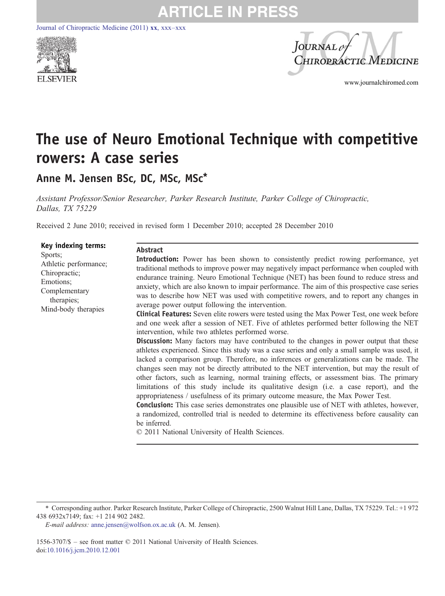[Journal of Chiropractic Medicine \(2011\)](http://dx.doi.org/) xx, xxx–xxx





www.journalchiromed.com

# The use of Neuro Emotional Technique with competitive rowers: A case series

Anne M. Jensen BSc, DC, MSc, MSc\*

Assistant Professor/Senior Researcher, Parker Research Institute, Parker College of Chiropractic, Dallas, TX 75229

Received 2 June 2010; received in revised form 1 December 2010; accepted 28 December 2010

|  | Key indexing terms:<br>Sports;<br>Athletic performance;<br>Chiropractic;<br>Emotions:<br>Complementary<br>therapies;<br>Mind-body therapies | Abstract<br><b>Introduction:</b> Power has been shown to consistently predict rowing performance, yet<br>traditional methods to improve power may negatively impact performance when coupled with<br>endurance training. Neuro Emotional Technique (NET) has been found to reduce stress and<br>anxiety, which are also known to impair performance. The aim of this prospective case series<br>was to describe how NET was used with competitive rowers, and to report any changes in<br>average power output following the intervention.<br><b>Clinical Features:</b> Seven elite rowers were tested using the Max Power Test, one week before<br>and one week after a session of NET. Five of athletes performed better following the NET<br>intervention, while two athletes performed worse.<br><b>Discussion:</b> Many factors may have contributed to the changes in power output that these<br>athletes experienced. Since this study was a case series and only a small sample was used, it<br>lacked a comparison group. Therefore, no inferences or generalizations can be made. The<br>changes seen may not be directly attributed to the NET intervention, but may the result of<br>other factors, such as learning, normal training effects, or assessment bias. The primary<br>limitations of this study include its qualitative design (i.e. a case report), and the<br>appropriateness / usefulness of its primary outcome measure, the Max Power Test.<br><b>Conclusion:</b> This case series demonstrates one plausible use of NET with athletes, however,<br>a randomized, controlled trial is needed to determine its effectiveness before causality can<br>be inferred.<br>© 2011 National University of Health Sciences. |
|--|---------------------------------------------------------------------------------------------------------------------------------------------|-------------------------------------------------------------------------------------------------------------------------------------------------------------------------------------------------------------------------------------------------------------------------------------------------------------------------------------------------------------------------------------------------------------------------------------------------------------------------------------------------------------------------------------------------------------------------------------------------------------------------------------------------------------------------------------------------------------------------------------------------------------------------------------------------------------------------------------------------------------------------------------------------------------------------------------------------------------------------------------------------------------------------------------------------------------------------------------------------------------------------------------------------------------------------------------------------------------------------------------------------------------------------------------------------------------------------------------------------------------------------------------------------------------------------------------------------------------------------------------------------------------------------------------------------------------------------------------------------------------------------------------------------------------------------------------------------------------------------------------------------|
|--|---------------------------------------------------------------------------------------------------------------------------------------------|-------------------------------------------------------------------------------------------------------------------------------------------------------------------------------------------------------------------------------------------------------------------------------------------------------------------------------------------------------------------------------------------------------------------------------------------------------------------------------------------------------------------------------------------------------------------------------------------------------------------------------------------------------------------------------------------------------------------------------------------------------------------------------------------------------------------------------------------------------------------------------------------------------------------------------------------------------------------------------------------------------------------------------------------------------------------------------------------------------------------------------------------------------------------------------------------------------------------------------------------------------------------------------------------------------------------------------------------------------------------------------------------------------------------------------------------------------------------------------------------------------------------------------------------------------------------------------------------------------------------------------------------------------------------------------------------------------------------------------------------------|

1556-3707/\$ – see front matter © 2011 National University of Health Sciences. doi:[10.1016/j.jcm.2010.12.001](http://dx.doi.org/10.1016/j.jcm.2010.12.001)

<sup>⁎</sup> Corresponding author. Parker Research Institute, Parker College of Chiropractic, 2500 Walnut Hill Lane, Dallas, TX 75229. Tel.: +1 972 438 6932x7149; fax: +1 214 902 2482.

E-mail address: [anne.jensen@wolfson.ox.ac.uk](mailto:anne.jensen@wolfson.ox.ac.uk) (A. M. Jensen).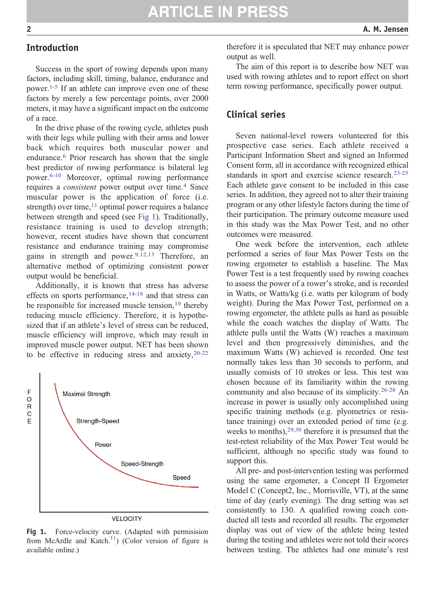## Introduction

Success in the sport of rowing depends upon many factors, including skill, timing, balance, endurance and power.[1-5](#page-4-0) If an athlete can improve even one of these factors by merely a few percentage points, over 2000 meters, it may have a significant impact on the outcome of a race.

In the drive phase of the rowing cycle, athletes push with their legs while pulling with their arms and lower back which requires both muscular power and endurance.<sup>[6](#page-5-0)</sup> Prior research has shown that the single best predictor of rowing performance is bilateral leg power.[6-10](#page-5-0) Moreover, optimal rowing performance requires a *consistent* power output over time.<sup>[4](#page-5-0)</sup> Since muscular power is the application of force (i.e. strength) over time, $11$  optimal power requires a balance between strength and speed (see Fig 1). Traditionally, resistance training is used to develop strength; however, recent studies have shown that concurrent resistance and endurance training may compromise gains in strength and power.  $9,12,13$  Therefore, an alternative method of optimizing consistent power output would be beneficial.

Additionally, it is known that stress has adverse effects on sports performance,  $14-18$  and that stress can be responsible for increased muscle tension[,](#page-5-0)<sup>[19](#page-5-0)</sup> thereby reducing muscle efficiency. Therefore, it is hypothesized that if an athlete's level of stress can be reduced, muscle efficiency will improve, which may result in improved muscle power output. NET has been shown to be effective in reducing stress and anxiety,  $20-22$ 



**VELOCITY** 

Fig 1. Force-velocity curve. (Adapted with permisision from McArdle and Katch.<sup>11</sup>) (Color version of figure is available online.)

therefore it is speculated that NET may enhance power output as well.

The aim of this report is to describe how NET was used with rowing athletes and to report effect on short term rowing performance, specifically power output.

### Clinical series

**ARTICLE IN PRESS** 

Seven national-level rowers volunteered for this prospective case series. Each athlete received a Participant Information Sheet and signed an Informed Consent form, all in accordance with recognized ethical standards in sport and exercise science research[.](#page-5-0)<sup>[23-25](#page-5-0)</sup> Each athlete gave consent to be included in this case series. In addition, they agreed not to alter their training program or any other lifestyle factors during the time of their participation. The primary outcome measure used in this study was the Max Power Test, and no other outcomes were measured.

One week before the intervention, each athlete performed a series of four Max Power Tests on the rowing ergometer to establish a baseline. The Max Power Test is a test frequently used by rowing coaches to assess the power of a rower's stroke, and is recorded in Watts, or Watts/kg (i.e. watts per kilogram of body weight). During the Max Power Test, performed on a rowing ergometer, the athlete pulls as hard as possible while the coach watches the display of Watts. The athlete pulls until the Watts (W) reaches a maximum level and then progressively diminishes, and the maximum Watts (W) achieved is recorded. One test normally takes less than 30 seconds to perform, and usually consists of 10 strokes or less. This test was chosen because of its familiarity within the rowing community and also because of its simplicity.[26-28](#page-5-0) An increase in power is usually only accomplished using specific training methods (e.g. plyometrics or resistance training) over an extended period of time (e.g. weeks to months), $29,30$  therefore it is presumed that the test-retest reliability of the Max Power Test would be sufficient, although no specific study was found to support this.

All pre- and post-intervention testing was performed using the same ergometer, a Concept II Ergometer Model C (Concept2, Inc., Morrisville, VT), at the same time of day (early evening). The drag setting was set consistently to 130. A qualified rowing coach conducted all tests and recorded all results. The ergometer display was out of view of the athlete being tested during the testing and athletes were not told their scores between testing. The athletes had one minute's rest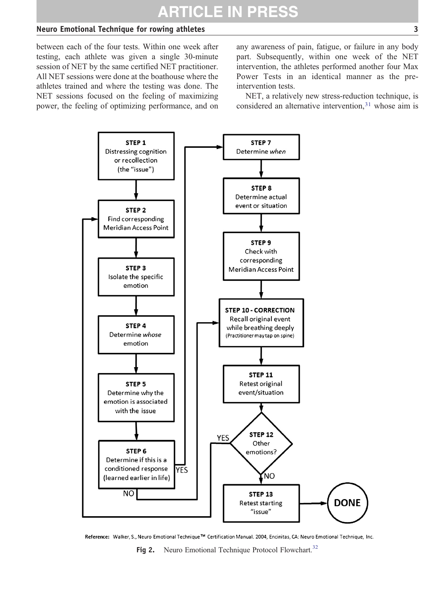## <span id="page-2-0"></span>Neuro Emotional Technique for rowing athletes 3

between each of the four tests. Within one week after testing, each athlete was given a single 30-minute session of NET by the same certified NET practitioner. All NET sessions were done at the boathouse where the athletes trained and where the testing was done. The NET sessions focused on the feeling of maximizing power, the feeling of optimizing performance, and on any awareness of pain, fatigue, or failure in any body part. Subsequently, within one week of the NET intervention, the athletes performed another four Max Power Tests in an identical manner as the preintervention tests.

NET, a relatively new stress-reduction technique, is considered an alternative intervention[,](#page-5-0) $31$  whose aim is



Reference: Walker, S., Neuro Emotional Technique™ Certification Manual. 2004, Encinitas, CA: Neuro Emotional Technique, Inc.

Fig 2. Neuro Emotional Technique Protocol Flowchart.<sup>[32](#page-5-0)</sup>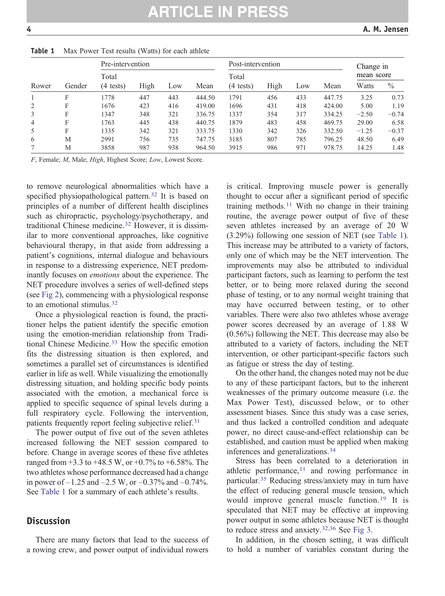| Rower          | Gender | Pre-intervention    |      |     | Post-intervention |                     |      |     | Change in |            |               |
|----------------|--------|---------------------|------|-----|-------------------|---------------------|------|-----|-----------|------------|---------------|
|                |        | Total               |      |     |                   | Total               |      |     |           | mean score |               |
|                |        | $(4 \text{ tests})$ | High | Low | Mean              | $(4 \text{ tests})$ | High | Low | Mean      | Watts      | $\frac{0}{0}$ |
|                | F      | 778                 | 447  | 443 | 444.50            | 1791                | 456  | 433 | 447.75    | 3.25       | 0.73          |
| 2              | F      | 1676                | 423  | 416 | 419.00            | 1696                | 431  | 418 | 424.00    | 5.00       | 1.19          |
| 3              | F      | 1347                | 348  | 321 | 336.75            | 1337                | 354  | 317 | 334.25    | $-2.50$    | $-0.74$       |
| $\overline{4}$ | F      | 1763                | 445  | 438 | 440.75            | 1879                | 483  | 458 | 469.75    | 29.00      | 6.58          |
| 5              | F      | 1335                | 342  | 321 | 333.75            | 1330                | 342  | 326 | 332.50    | $-1.25$    | $-0.37$       |
| 6              | M      | 2991                | 756  | 735 | 747.75            | 3185                | 807  | 785 | 796.25    | 48.50      | 6.49          |
|                | М      | 3858                | 987  | 938 | 964.50            | 3915                | 986  | 971 | 978.75    | 14.25      | 1.48          |

Table 1 Max Power Test results (Watts) for each athlete

F, Female; M, Male; High, Highest Score; Low, Lowest Score.

to remove neurological abnormalities which have a specified physiopathological pattern.<sup>[32](#page-5-0)</sup> It is based on principles of a number of different health disciplines such as chiropractic, psychology/psychotherapy, and traditional Chinese medicine.[32](#page-5-0) However, it is dissimilar to more conventional approaches, like cognitive behavioural therapy, in that aside from addressing a patient's cognitions, internal dialogue and behaviours in response to a distressing experience, NET predominantly focuses on emotions about the experience. The NET procedure involves a series of well-defined steps (see [Fig 2\)](#page-2-0), commencing with a physiological response to an emotional stimulus[.](#page-5-0)<sup>[32](#page-5-0)</sup>

Once a physiological reaction is found, the practitioner helps the patient identify the specific emotion using the emotion-meridian relationship from Tradi-tional Chinese Medicine.<sup>[33](#page-5-0)</sup> How the specific emotion fits the distressing situation is then explored, and sometimes a parallel set of circumstances is identified earlier in life as well. While visualizing the emotionally distressing situation, and holding specific body points associated with the emotion, a mechanical force is applied to specific sequence of spinal levels during a full respiratory cycle. Following the intervention, patients frequently report feeling subjective relief.<sup>[31](#page-5-0)</sup>

The power output of five out of the seven athletes increased following the NET session compared to before. Change in average scores of these five athletes ranged from  $+3.3$  to  $+48.5$  W, or  $+0.7\%$  to  $+6.58\%$ . The two athletes whose performance decreased had a change in power of  $-1.25$  and  $-2.5$  W, or  $-0.37\%$  and  $-0.74\%$ . See Table 1 for a summary of each athlete's results.

#### **Discussion**

There are many factors that lead to the success of a rowing crew, and power output of individual rowers

is critical. Improving muscle power is generally thought to occur after a significant period of specific training methods.<sup>[11](#page-5-0)</sup> With no change in their training routine, the average power output of five of these seven athletes increased by an average of 20 W (3.29%) following one session of NET (see Table 1). This increase may be attributed to a variety of factors, only one of which may be the NET intervention. The improvements may also be attributed to individual participant factors, such as learning to perform the test better, or to being more relaxed during the second phase of testing, or to any normal weight training that may have occurred between testing, or to other variables. There were also two athletes whose average power scores decreased by an average of 1.88 W (0.56%) following the NET. This decrease may also be attributed to a variety of factors, including the NET intervention, or other participant-specific factors such as fatigue or stress the day of testing.

On the other hand, the changes noted may not be due to any of these participant factors, but to the inherent weaknesses of the primary outcome measure (i.e. the Max Power Test), discussed below, or to other assessment biases. Since this study was a case series, and thus lacked a controlled condition and adequate power, no direct cause-and-effect relationship can be established, and caution must be applied when making inferences and generalizations.[34](#page-5-0)

Stress has been correlated to a deterioration in athletic performance[,](#page-5-0) $11$  and rowing performance in particular.[35](#page-5-0) Reducing stress/anxiety may in turn have the effect of reducing general muscle tension, which would improve general muscle function.[19](#page-5-0) It is speculated that NET may be effective at improving power output in some athletes because NET is thought to reduce stress and anxiety.<sup>[32,36](#page-5-0)</sup> See [Fig 3.](#page-4-0)

In addition, in the chosen setting, it was difficult to hold a number of variables constant during the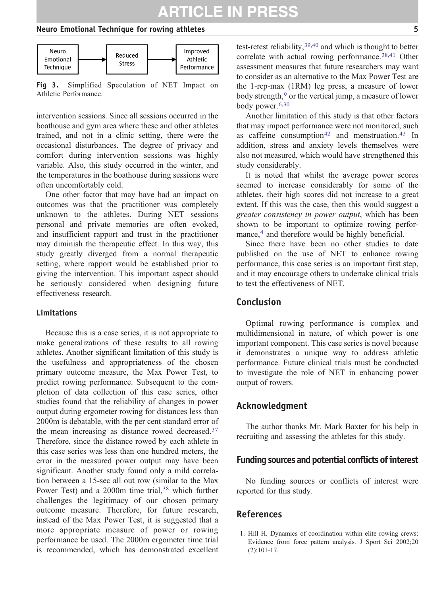# **ARTICLE IN PRESS**

#### <span id="page-4-0"></span>Neuro Emotional Technique for rowing athletes 5



Fig 3. Simplified Speculation of NET Impact on Athletic Performance.

intervention sessions. Since all sessions occurred in the boathouse and gym area where these and other athletes trained, and not in a clinic setting, there were the occasional disturbances. The degree of privacy and comfort during intervention sessions was highly variable. Also, this study occurred in the winter, and the temperatures in the boathouse during sessions were often uncomfortably cold.

One other factor that may have had an impact on outcomes was that the practitioner was completely unknown to the athletes. During NET sessions personal and private memories are often evoked, and insufficient rapport and trust in the practitioner may diminish the therapeutic effect. In this way, this study greatly diverged from a normal therapeutic setting, where rapport would be established prior to giving the intervention. This important aspect should be seriously considered when designing future effectiveness research.

#### Limitations

Because this is a case series, it is not appropriate to make generalizations of these results to all rowing athletes. Another significant limitation of this study is the usefulness and appropriateness of the chosen primary outcome measure, the Max Power Test, to predict rowing performance. Subsequent to the completion of data collection of this case series, other studies found that the reliability of changes in power output during ergometer rowing for distances less than 2000m is debatable, with the per cent standard error of the mean increasing as distance rowed decreased.[37](#page-5-0) Therefore, since the distance rowed by each athlete in this case series was less than one hundred meters, the error in the measured power output may have been significant. Another study found only a mild correlation between a 15-sec all out row (similar to the Max Power Test) and a 2000m time trial,<sup>[38](#page-5-0)</sup> which further challenges the legitimacy of our chosen primary outcome measure. Therefore, for future research, instead of the Max Power Test, it is suggested that a more appropriate measure of power or rowing performance be used. The 2000m ergometer time trial is recommended, which has demonstrated excellent test-retest reliability,[39,40](#page-6-0) and which is thought to better correlate with actual rowing performance[.](#page-5-0)<sup>[38,41](#page-5-0)</sup> Other assessment measures that future researchers may want to consider as an alternative to the Max Power Test are the 1-rep-max (1RM) leg press, a measure of lower body strength,<sup>[9](#page-5-0)</sup> or the vertical jump, a measure of lower body power.[6,30](#page-5-0)

Another limitation of this study is that other factors that may impact performance were not monitored, such as caffeine consumption<sup>[42](#page-6-0)</sup> and menstruation.<sup>[43](#page-6-0)</sup> In addition, stress and anxiety levels themselves were also not measured, which would have strengthened this study considerably.

It is noted that whilst the average power scores seemed to increase considerably for some of the athletes, their high scores did not increase to a great extent. If this was the case, then this would suggest a greater consistency in power output, which has been shown to be important to optimize rowing perfor-mance,<sup>[4](#page-5-0)</sup> and therefore would be highly beneficial.

Since there have been no other studies to date published on the use of NET to enhance rowing performance, this case series is an important first step, and it may encourage others to undertake clinical trials to test the effectiveness of NET.

### Conclusion

Optimal rowing performance is complex and multidimensional in nature, of which power is one important component. This case series is novel because it demonstrates a unique way to address athletic performance. Future clinical trials must be conducted to investigate the role of NET in enhancing power output of rowers.

## Acknowledgment

The author thanks Mr. Mark Baxter for his help in recruiting and assessing the athletes for this study.

### Funding sources and potential conflicts of interest

No funding sources or conflicts of interest were reported for this study.

## References

1. Hill H. Dynamics of coordination within elite rowing crews: Evidence from force pattern analysis. J Sport Sci 2002;20 (2):101-17.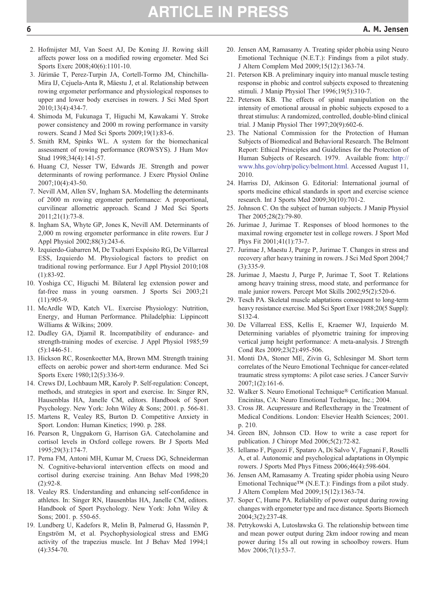- <span id="page-5-0"></span>2. Hofmijster MJ, Van Soest AJ, De Koning JJ. Rowing skill affects power loss on a modified rowing ergometer. Med Sci Sports Exerc 2008;40(6):1101-10.
- 3. Jürimäe T, Perez-Turpin JA, Cortell-Tormo JM, Chinchilla-Mira IJ, Cejuela-Anta R, Mäestu J, et al. Relationship between rowing ergometer performance and physiological responses to upper and lower body exercises in rowers. J Sci Med Sport 2010;13(4):434-7.
- 4. Shimoda M, Fukunaga T, Higuchi M, Kawakami Y. Stroke power consistency and 2000 m rowing performance in varsity rowers. Scand J Med Sci Sports 2009;19(1):83-6.
- 5. Smith RM, Spinks WL. A system for the biomechanical assessment of rowing performance (ROWSYS). J Hum Mov Stud 1998;34(4):141-57.
- 6. Huang CJ, Nesser TW, Edwards JE. Strength and power determinants of rowing performance. J Exerc Physiol Online 2007;10(4):43-50.
- 7. Nevill AM, Allen SV, Ingham SA. Modelling the determinants of 2000 m rowing ergometer performance: A proportional, curvilinear allometric approach. Scand J Med Sci Sports 2011;21(1):73-8.
- 8. Ingham SA, Whyte GP, Jones K, Nevill AM. Determinants of 2,000 m rowing ergometer performance in elite rowers. Eur J Appl Physiol 2002;88(3):243-6.
- 9. Izquierdo-Gabarren M, De Txabarri Expósito RG, De Villarreal ESS, Izquierdo M. Physiological factors to predict on traditional rowing performance. Eur J Appl Physiol 2010;108 (1):83-92.
- 10. Yoshiga CC, Higuchi M. Bilateral leg extension power and fat-free mass in young oarsmen. J Sports Sci 2003;21  $(11):905-9.$
- 11. McArdle WD, Katch VL. Exercise Physiology: Nutrition, Energy, and Human Performance. Philadelphia: Lippincott Williams & Wilkins; 2009.
- 12. Dudley GA, Djamil R. Incompatibility of endurance- and strength-training modes of exercise. J Appl Physiol 1985;59  $(5):1446-51$ .
- 13. Hickson RC, Rosenkoetter MA, Brown MM. Strength training effects on aerobic power and short-term endurance. Med Sci Sports Exerc 1980;12(5):336-9.
- 14. Crews DJ, Lochbaum MR, Karoly P. Self-regulation: Concept, methods, and strategies in sport and exercise. In: Singer RN, Hausenblas HA, Janelle CM, editors. Handbook of Sport Psychology. New York: John Wiley & Sons; 2001. p. 566-81.
- 15. Martens R, Vealey RS, Burton D. Competitive Anxiety in Sport. London: Human Kinetics; 1990. p. 288.
- 16. Pearson R, Ungpakorn G, Harrison GA. Catecholamine and cortisol levels in Oxford college rowers. Br J Sports Med 1995;29(3):174-7.
- 17. Perna FM, Antoni MH, Kumar M, Cruess DG, Schneiderman N. Cognitive-behavioral intervention effects on mood and cortisol during exercise training. Ann Behav Med 1998;20  $(2):92-8.$
- 18. Vealey RS. Understanding and enhancing self-confidence in athletes. In: Singer RN, Hausenblas HA, Janelle CM, editors. Handbook of Sport Psychology. New York: John Wiley & Sons; 2001. p. 550-65.
- 19. Lundberg U, Kadefors R, Melin B, Palmerud G, Hassmén P, Engström M, et al. Psychophysiological stress and EMG activity of the trapezius muscle. Int J Behav Med 1994;1 (4):354-70.
- 20. Jensen AM, Ramasamy A. Treating spider phobia using Neuro Emotional Technique (N.E.T.): Findings from a pilot study. J Altern Complem Med 2009;15(12):1363-74.
- 21. Peterson KB. A preliminary inquiry into manual muscle testing response in phobic and control subjects exposed to threatening stimuli. J Manip Physiol Ther 1996;19(5):310-7.
- 22. Peterson KB. The effects of spinal manipulation on the intensity of emotional arousal in phobic subjects exposed to a threat stimulus: A randomized, controlled, double-blind clinical trial. J Manip Physiol Ther 1997;20(9):602-6.
- 23. The National Commission for the Protection of Human Subjects of Biomedical and Behavioral Research. The Belmont Report: Ethical Principles and Guidelines for the Protection of Human Subjects of Research. 1979. Available from: [http://](http://www.hhs.gov/ohrp/policy/belmont.html) [www.hhs.gov/ohrp/policy/belmont.html.](http://www.hhs.gov/ohrp/policy/belmont.html) Accessed August 11, 2010.
- 24. Harriss DJ, Atkinson G. Editorial: International journal of sports medicine ethical standards in sport and exercise science research. Int J Sports Med 2009;30(10):701-2.
- 25. Johnson C. On the subject of human subjects. J Manip Physiol Ther 2005;28(2):79-80.
- 26. Jurimae J, Jurimae T. Responses of blood hormones to the maximal rowing ergometer test in college rowers. J Sport Med Phys Fit 2001;41(1):73-7.
- 27. Jurimae J, Maestu J, Purge P, Jurimae T. Changes in stress and recovery after heavy training in rowers. J Sci Med Sport 2004;7 (3):335-9.
- 28. Jurimae J, Maestu J, Purge P, Jurimae T, Soot T. Relations among heavy training stress, mood state, and performance for male junior rowers. Percept Mot Skills 2002;95(2):520-6.
- 29. Tesch PA. Skeletal muscle adaptations consequent to long-term heavy resistance exercise. Med Sci Sport Exer 1988;20(5 Suppl): S132-4.
- 30. De Villarreal ESS, Kellis E, Kraemer WJ, Izquierdo M. Determining variables of plyometric training for improving vertical jump height performance: A meta-analysis. J Strength Cond Res 2009;23(2):495-506.
- 31. Monti DA, Stoner ME, Zivin G, Schlesinger M. Short term correlates of the Neuro Emotional Technique for cancer-related traumatic stress symptoms: A pilot case series. J Cancer Surviv 2007;1(2):161-6.
- 32. Walker S. Neuro Emotional Technique® Certification Manual. Encinitas, CA: Neuro Emotional Technique, Inc.; 2004.
- 33. Cross JR. Acupressure and Reflextherapy in the Treatment of Medical Conditions. London: Elsevier Health Sciences; 2001. p. 210.
- 34. Green BN, Johnson CD. How to write a case report for publication. J Chiropr Med 2006;5(2):72-82.
- 35. Iellamo F, Pigozzi F, Spataro A, Di Salvo V, Fagnani F, Roselli A, et al. Autonomic and psychological adaptations in Olympic rowers. J Sports Med Phys Fitness 2006;46(4):598-604.
- 36. Jensen AM, Ramasamy A. Treating spider phobia using Neuro Emotional Technique™ (N.E.T.): Findings from a pilot study. J Altern Complem Med 2009;15(12):1363-74.
- 37. Soper C, Hume PA. Reliability of power output during rowing changes with ergometer type and race distance. Sports Biomech 2004;3(2):237-48.
- 38. Petrykowski A, Lutosławska G. The relationship between time and mean power output during 2km indoor rowing and mean power during 15s all out rowing in schoolboy rowers. Hum Mov 2006;7(1):53-7.